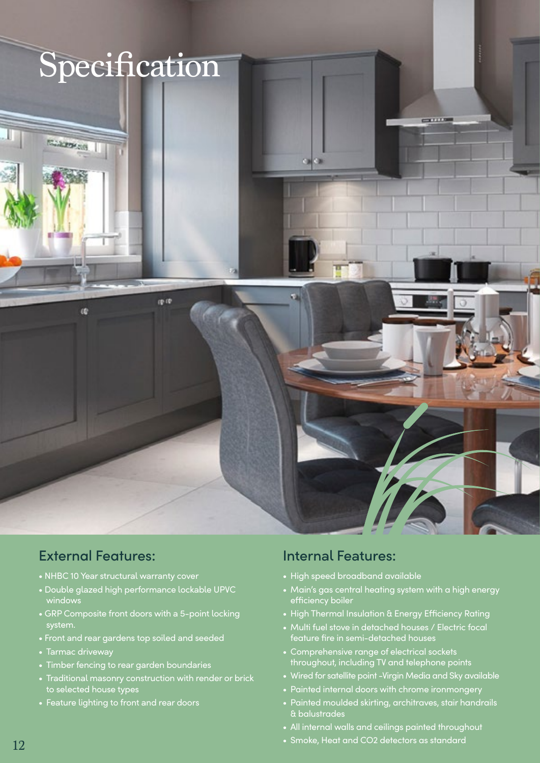

## External Features:

- NHBC 10 Year structural warranty cover
- Double glazed high performance lockable UPVC windows
- GRP Composite front doors with a 5-point locking system.
- Front and rear gardens top soiled and seeded
- Tarmac driveway
- Timber fencing to rear garden boundaries
- Traditional masonry construction with render or brick to selected house types
- Feature lighting to front and rear doors

## Internal Features:

- High speed broadband available
- Main's gas central heating system with a high energy efficiency boiler
- High Thermal Insulation & Energy Efficiency Rating
- Multi fuel stove in detached houses / Electric focal feature fire in semi-detached houses
- Comprehensive range of electrical sockets throughout, including TV and telephone points
- Wired for satellite point -Virgin Media and Sky available
- Painted internal doors with chrome ironmongery
- Painted moulded skirting, architraves, stair handrails & balustrades
- All internal walls and ceilings painted throughout
- Smoke, Heat and CO2 detectors as standard